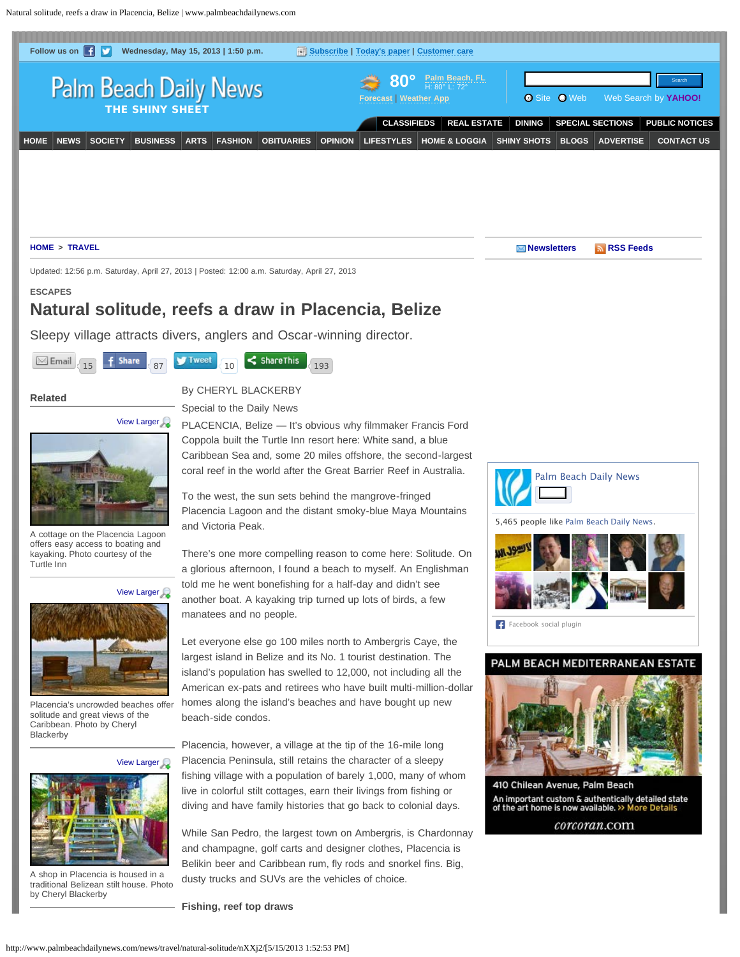<span id="page-0-0"></span>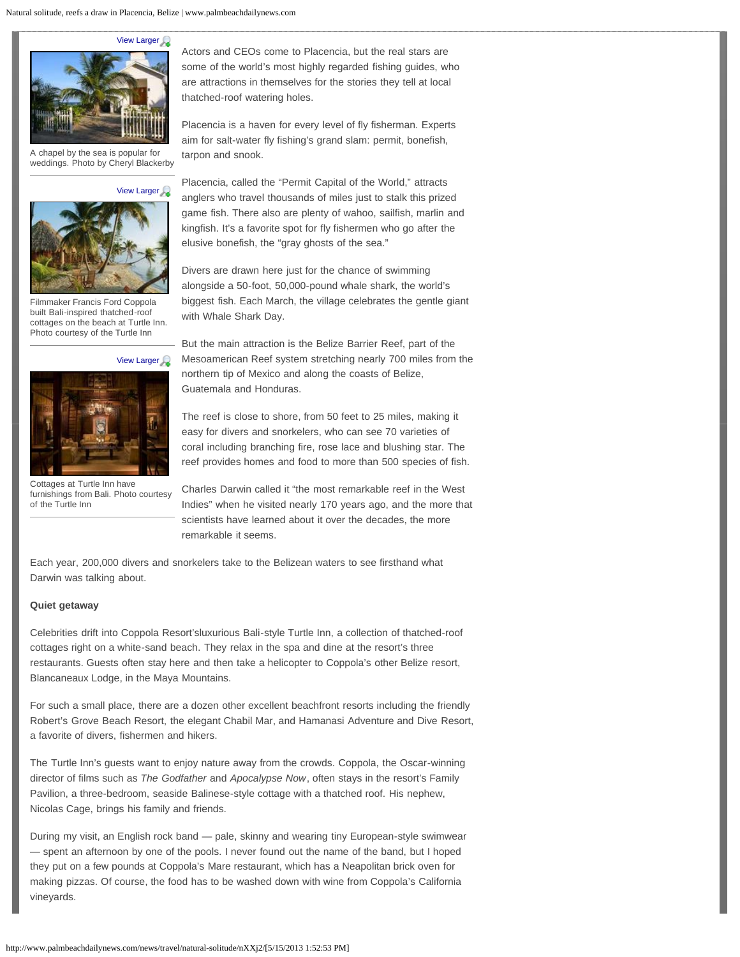## Natural solitude, reefs a draw in Placencia, Belize | www.palmbeachdailynews.com



A chapel by the sea is popular for weddings. Photo by Cheryl Blackerby

**[View Larger](http://media.cmgdigital.com/shared/lt/lt_cache/thumbnail/960/img/photos/2013/04/25/c4/12/Turtle_Inn_Cottages_1.jpg)** 



Filmmaker Francis Ford Coppola built Bali-inspired thatched-roof cottages on the beach at Turtle Inn. Photo courtesy of the Turtle Inn

**[View Larger](http://media.cmgdigital.com/shared/lt/lt_cache/thumbnail/960/img/photos/2013/04/25/1e/dc/Balinese_Cottage.jpg)** 



Cottages at Turtle Inn have furnishings from Bali. Photo courtesy of the Turtle Inn

Actors and CEOs come to Placencia, but the real stars are some of the world's most highly regarded fishing guides, who are attractions in themselves for the stories they tell at local thatched-roof watering holes.

Placencia is a haven for every level of fly fisherman. Experts aim for salt-water fly fishing's grand slam: permit, bonefish, tarpon and snook.

Placencia, called the "Permit Capital of the World," attracts anglers who travel thousands of miles just to stalk this prized game fish. There also are plenty of wahoo, sailfish, marlin and kingfish. It's a favorite spot for fly fishermen who go after the elusive bonefish, the "gray ghosts of the sea."

Divers are drawn here just for the chance of swimming alongside a 50-foot, 50,000-pound whale shark, the world's biggest fish. Each March, the village celebrates the gentle giant with Whale Shark Day.

But the main attraction is the Belize Barrier Reef, part of the Mesoamerican Reef system stretching nearly 700 miles from the northern tip of Mexico and along the coasts of Belize, Guatemala and Honduras.

The reef is close to shore, from 50 feet to 25 miles, making it easy for divers and snorkelers, who can see 70 varieties of coral including branching fire, rose lace and blushing star. The reef provides homes and food to more than 500 species of fish.

Charles Darwin called it "the most remarkable reef in the West Indies" when he visited nearly 170 years ago, and the more that scientists have learned about it over the decades, the more remarkable it seems.

Each year, 200,000 divers and snorkelers take to the Belizean waters to see firsthand what Darwin was talking about.

## **Quiet getaway**

Celebrities drift into Coppola Resort'sluxurious Bali-style Turtle Inn, a collection of thatched-roof cottages right on a white-sand beach. They relax in the spa and dine at the resort's three restaurants. Guests often stay here and then take a helicopter to Coppola's other Belize resort, Blancaneaux Lodge, in the Maya Mountains.

For such a small place, there are a dozen other excellent beachfront resorts including the friendly Robert's Grove Beach Resort, the elegant Chabil Mar, and Hamanasi Adventure and Dive Resort, a favorite of divers, fishermen and hikers.

The Turtle Inn's guests want to enjoy nature away from the crowds. Coppola, the Oscar-winning director of films such as *The Godfather* and *Apocalypse Now*, often stays in the resort's Family Pavilion, a three-bedroom, seaside Balinese-style cottage with a thatched roof. His nephew, Nicolas Cage, brings his family and friends.

During my visit, an English rock band — pale, skinny and wearing tiny European-style swimwear — spent an afternoon by one of the pools. I never found out the name of the band, but I hoped they put on a few pounds at Coppola's Mare restaurant, which has a Neapolitan brick oven for making pizzas. Of course, the food has to be washed down with wine from Coppola's California vineyards.